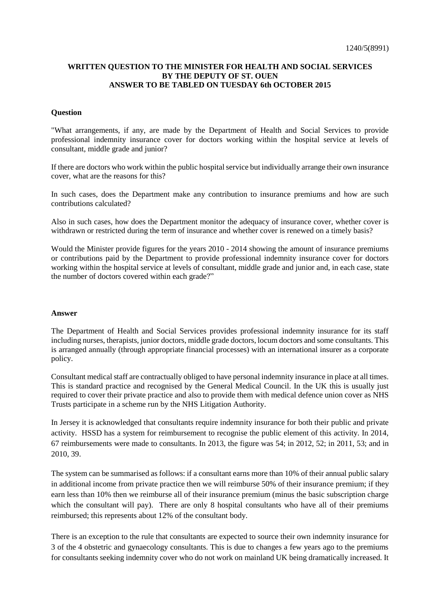## **WRITTEN QUESTION TO THE MINISTER FOR HEALTH AND SOCIAL SERVICES BY THE DEPUTY OF ST. OUEN ANSWER TO BE TABLED ON TUESDAY 6th OCTOBER 2015**

## **Question**

"What arrangements, if any, are made by the Department of Health and Social Services to provide professional indemnity insurance cover for doctors working within the hospital service at levels of consultant, middle grade and junior?

If there are doctors who work within the public hospital service but individually arrange their own insurance cover, what are the reasons for this?

In such cases, does the Department make any contribution to insurance premiums and how are such contributions calculated?

Also in such cases, how does the Department monitor the adequacy of insurance cover, whether cover is withdrawn or restricted during the term of insurance and whether cover is renewed on a timely basis?

Would the Minister provide figures for the years 2010 - 2014 showing the amount of insurance premiums or contributions paid by the Department to provide professional indemnity insurance cover for doctors working within the hospital service at levels of consultant, middle grade and junior and, in each case, state the number of doctors covered within each grade?"

## **Answer**

The Department of Health and Social Services provides professional indemnity insurance for its staff including nurses, therapists, junior doctors, middle grade doctors, locum doctors and some consultants. This is arranged annually (through appropriate financial processes) with an international insurer as a corporate policy.

Consultant medical staff are contractually obliged to have personal indemnity insurance in place at all times. This is standard practice and recognised by the General Medical Council. In the UK this is usually just required to cover their private practice and also to provide them with medical defence union cover as NHS Trusts participate in a scheme run by the NHS Litigation Authority.

In Jersey it is acknowledged that consultants require indemnity insurance for both their public and private activity. HSSD has a system for reimbursement to recognise the public element of this activity. In 2014, 67 reimbursements were made to consultants. In 2013, the figure was 54; in 2012, 52; in 2011, 53; and in 2010, 39.

The system can be summarised as follows: if a consultant earns more than 10% of their annual public salary in additional income from private practice then we will reimburse 50% of their insurance premium; if they earn less than 10% then we reimburse all of their insurance premium (minus the basic subscription charge which the consultant will pay). There are only 8 hospital consultants who have all of their premiums reimbursed; this represents about 12% of the consultant body.

There is an exception to the rule that consultants are expected to source their own indemnity insurance for 3 of the 4 obstetric and gynaecology consultants. This is due to changes a few years ago to the premiums for consultants seeking indemnity cover who do not work on mainland UK being dramatically increased. It